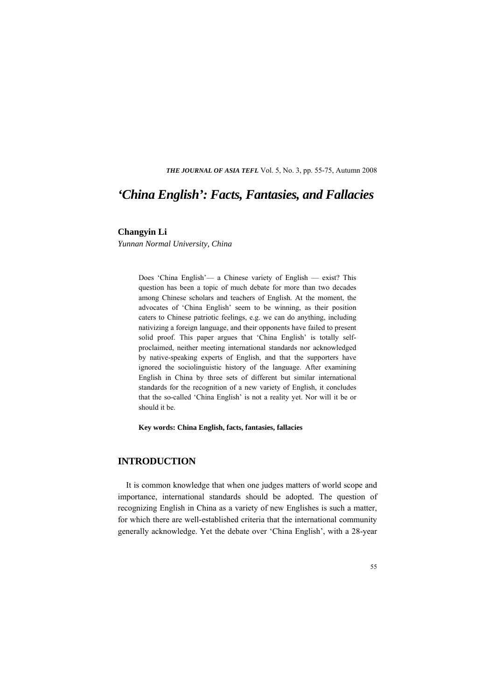*THE JOURNAL OF ASIA TEFL* Vol. 5, No. 3, pp. 55-75, Autumn 2008

# *'China English': Facts, Fantasies, and Fallacies*

#### **Changyin Li**

*Yunnan Normal University, China*

Does 'China English'— a Chinese variety of English — exist? This question has been a topic of much debate for more than two decades among Chinese scholars and teachers of English. At the moment, the advocates of 'China English' seem to be winning, as their position caters to Chinese patriotic feelings, e.g. we can do anything, including nativizing a foreign language, and their opponents have failed to present solid proof. This paper argues that 'China English' is totally selfproclaimed, neither meeting international standards nor acknowledged by native-speaking experts of English, and that the supporters have ignored the sociolinguistic history of the language. After examining English in China by three sets of different but similar international standards for the recognition of a new variety of English, it concludes that the so-called 'China English' is not a reality yet. Nor will it be or should it be.

**Key words: China English, facts, fantasies, fallacies** 

## **INTRODUCTION**

It is common knowledge that when one judges matters of world scope and importance, international standards should be adopted. The question of recognizing English in China as a variety of new Englishes is such a matter, for which there are well-established criteria that the international community generally acknowledge. Yet the debate over 'China English', with a 28-year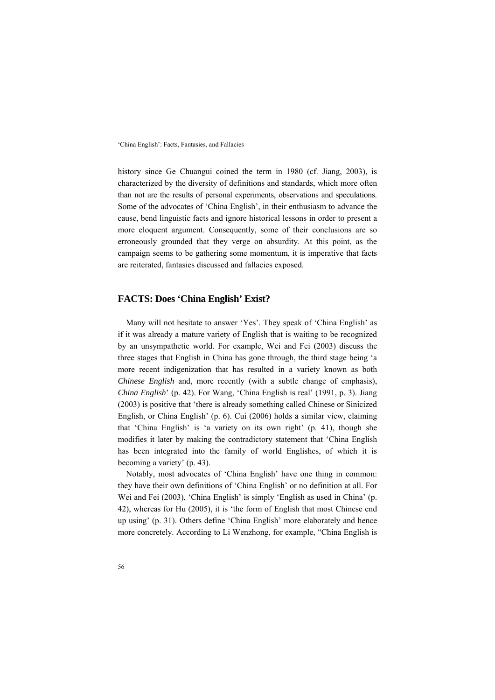history since Ge Chuangui coined the term in 1980 (cf. Jiang, 2003), is characterized by the diversity of definitions and standards, which more often than not are the results of personal experiments, observations and speculations. Some of the advocates of 'China English', in their enthusiasm to advance the cause, bend linguistic facts and ignore historical lessons in order to present a more eloquent argument. Consequently, some of their conclusions are so erroneously grounded that they verge on absurdity. At this point, as the campaign seems to be gathering some momentum, it is imperative that facts are reiterated, fantasies discussed and fallacies exposed.

### **FACTS: Does 'China English' Exist?**

Many will not hesitate to answer 'Yes'. They speak of 'China English' as if it was already a mature variety of English that is waiting to be recognized by an unsympathetic world. For example, Wei and Fei (2003) discuss the three stages that English in China has gone through, the third stage being 'a more recent indigenization that has resulted in a variety known as both *Chinese English* and, more recently (with a subtle change of emphasis), *China English*' (p. 42). For Wang, 'China English is real' (1991, p. 3). Jiang (2003) is positive that 'there is already something called Chinese or Sinicized English, or China English' (p. 6). Cui (2006) holds a similar view, claiming that 'China English' is 'a variety on its own right' (p. 41), though she modifies it later by making the contradictory statement that 'China English has been integrated into the family of world Englishes, of which it is becoming a variety' (p. 43).

Notably, most advocates of 'China English' have one thing in common: they have their own definitions of 'China English' or no definition at all. For Wei and Fei (2003), 'China English' is simply 'English as used in China' (p. 42), whereas for Hu (2005), it is 'the form of English that most Chinese end up using' (p. 31). Others define 'China English' more elaborately and hence more concretely. According to Li Wenzhong, for example, "China English is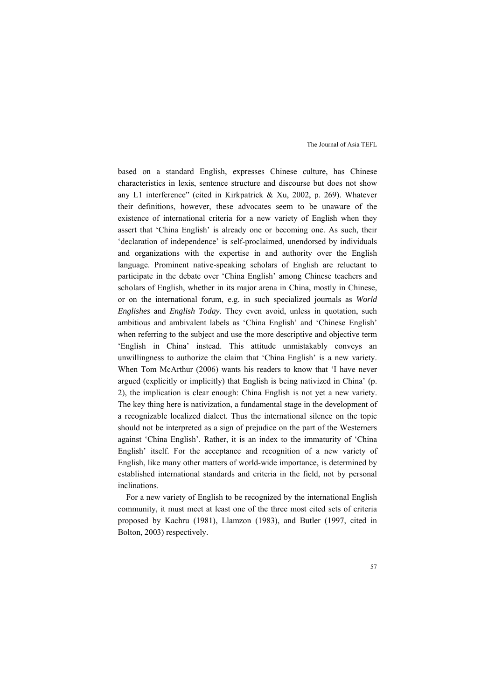based on a standard English, expresses Chinese culture, has Chinese characteristics in lexis, sentence structure and discourse but does not show any L1 interference" (cited in Kirkpatrick & Xu, 2002, p. 269). Whatever their definitions, however, these advocates seem to be unaware of the existence of international criteria for a new variety of English when they assert that 'China English' is already one or becoming one. As such, their 'declaration of independence' is self-proclaimed, unendorsed by individuals and organizations with the expertise in and authority over the English language. Prominent native-speaking scholars of English are reluctant to participate in the debate over 'China English' among Chinese teachers and scholars of English, whether in its major arena in China, mostly in Chinese, or on the international forum, e.g. in such specialized journals as *World Englishes* and *English Today*. They even avoid, unless in quotation, such ambitious and ambivalent labels as 'China English' and 'Chinese English' when referring to the subject and use the more descriptive and objective term 'English in China' instead. This attitude unmistakably conveys an unwillingness to authorize the claim that 'China English' is a new variety. When Tom McArthur (2006) wants his readers to know that 'I have never argued (explicitly or implicitly) that English is being nativized in China' (p. 2), the implication is clear enough: China English is not yet a new variety. The key thing here is nativization, a fundamental stage in the development of a recognizable localized dialect. Thus the international silence on the topic should not be interpreted as a sign of prejudice on the part of the Westerners against 'China English'. Rather, it is an index to the immaturity of 'China English' itself. For the acceptance and recognition of a new variety of English, like many other matters of world-wide importance, is determined by established international standards and criteria in the field, not by personal inclinations.

For a new variety of English to be recognized by the international English community, it must meet at least one of the three most cited sets of criteria proposed by Kachru (1981), Llamzon (1983), and Butler (1997, cited in Bolton, 2003) respectively.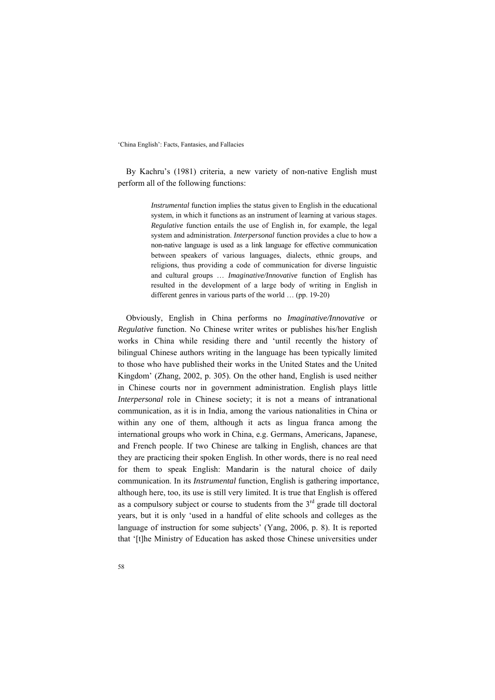By Kachru's (1981) criteria, a new variety of non-native English must perform all of the following functions:

> *Instrumental* function implies the status given to English in the educational system, in which it functions as an instrument of learning at various stages. *Regulative* function entails the use of English in, for example, the legal system and administration. *Interpersonal* function provides a clue to how a non-native language is used as a link language for effective communication between speakers of various languages, dialects, ethnic groups, and religions, thus providing a code of communication for diverse linguistic and cultural groups … *Imaginative/Innovative* function of English has resulted in the development of a large body of writing in English in different genres in various parts of the world … (pp. 19-20)

Obviously, English in China performs no *Imaginative/Innovative* or *Regulative* function. No Chinese writer writes or publishes his/her English works in China while residing there and 'until recently the history of bilingual Chinese authors writing in the language has been typically limited to those who have published their works in the United States and the United Kingdom' (Zhang, 2002, p. 305). On the other hand, English is used neither in Chinese courts nor in government administration. English plays little *Interpersonal* role in Chinese society; it is not a means of intranational communication, as it is in India, among the various nationalities in China or within any one of them, although it acts as lingua franca among the international groups who work in China, e.g. Germans, Americans, Japanese, and French people. If two Chinese are talking in English, chances are that they are practicing their spoken English. In other words, there is no real need for them to speak English: Mandarin is the natural choice of daily communication. In its *Instrumental* function, English is gathering importance, although here, too, its use is still very limited. It is true that English is offered as a compulsory subject or course to students from the  $3<sup>rd</sup>$  grade till doctoral years, but it is only 'used in a handful of elite schools and colleges as the language of instruction for some subjects' (Yang, 2006, p. 8). It is reported that '[t]he Ministry of Education has asked those Chinese universities under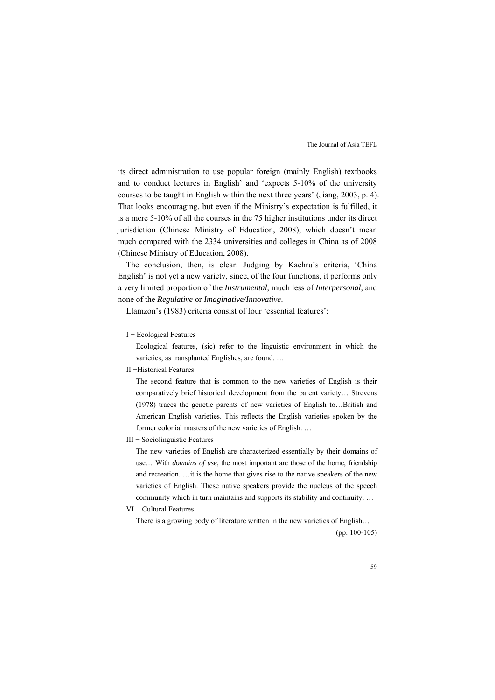its direct administration to use popular foreign (mainly English) textbooks and to conduct lectures in English' and 'expects 5-10% of the university courses to be taught in English within the next three years' (Jiang, 2003, p. 4). That looks encouraging, but even if the Ministry's expectation is fulfilled, it is a mere 5-10% of all the courses in the 75 higher institutions under its direct jurisdiction (Chinese Ministry of Education, 2008), which doesn't mean much compared with the 2334 universities and colleges in China as of 2008 (Chinese Ministry of Education, 2008).

The conclusion, then, is clear: Judging by Kachru's criteria, 'China English' is not yet a new variety, since, of the four functions, it performs only a very limited proportion of the *Instrumental*, much less of *Interpersonal*, and none of the *Regulative* or *Imaginative/Innovative*.

Llamzon's (1983) criteria consist of four 'essential features':

I − Ecological Features

Ecological features, (sic) refer to the linguistic environment in which the varieties, as transplanted Englishes, are found. …

II −Historical Features

The second feature that is common to the new varieties of English is their comparatively brief historical development from the parent variety… Strevens (1978) traces the genetic parents of new varieties of English to…British and American English varieties. This reflects the English varieties spoken by the former colonial masters of the new varieties of English. …

III − Sociolinguistic Features

The new varieties of English are characterized essentially by their domains of use… With *domains of use*, the most important are those of the home, friendship and recreation. …it is the home that gives rise to the native speakers of the new varieties of English. These native speakers provide the nucleus of the speech community which in turn maintains and supports its stability and continuity. …

VI − Cultural Features

There is a growing body of literature written in the new varieties of English… (pp. 100-105)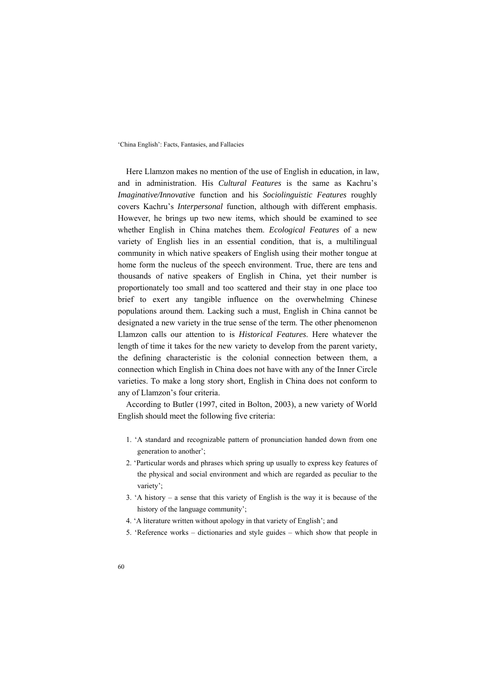Here Llamzon makes no mention of the use of English in education, in law, and in administration. His *Cultural Features* is the same as Kachru's *Imaginative/Innovative* function and his *Sociolinguistic Features* roughly covers Kachru's *Interpersonal* function, although with different emphasis. However, he brings up two new items, which should be examined to see whether English in China matches them. *Ecological Features* of a new variety of English lies in an essential condition, that is, a multilingual community in which native speakers of English using their mother tongue at home form the nucleus of the speech environment. True, there are tens and thousands of native speakers of English in China, yet their number is proportionately too small and too scattered and their stay in one place too brief to exert any tangible influence on the overwhelming Chinese populations around them. Lacking such a must, English in China cannot be designated a new variety in the true sense of the term. The other phenomenon Llamzon calls our attention to is *Historical Features*. Here whatever the length of time it takes for the new variety to develop from the parent variety, the defining characteristic is the colonial connection between them, a connection which English in China does not have with any of the Inner Circle varieties. To make a long story short, English in China does not conform to any of Llamzon's four criteria.

According to Butler (1997, cited in Bolton, 2003), a new variety of World English should meet the following five criteria:

- 1. 'A standard and recognizable pattern of pronunciation handed down from one generation to another';
- 2. 'Particular words and phrases which spring up usually to express key features of the physical and social environment and which are regarded as peculiar to the variety';
- 3. 'A history a sense that this variety of English is the way it is because of the history of the language community';
- 4. 'A literature written without apology in that variety of English'; and
- 5. 'Reference works dictionaries and style guides which show that people in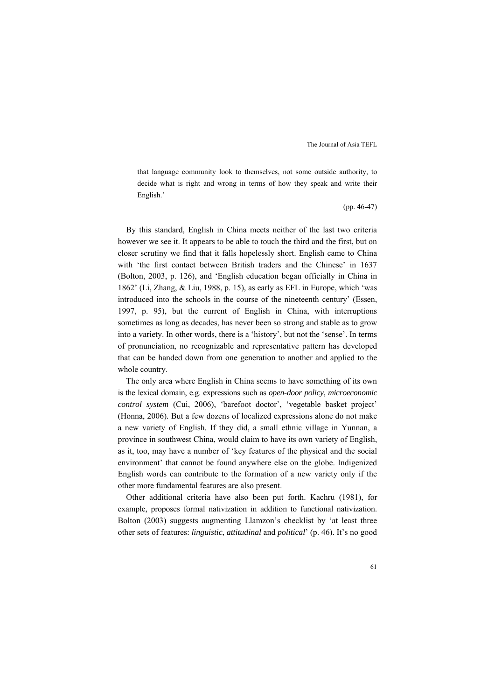that language community look to themselves, not some outside authority, to decide what is right and wrong in terms of how they speak and write their English.'

(pp. 46-47)

By this standard, English in China meets neither of the last two criteria however we see it. It appears to be able to touch the third and the first, but on closer scrutiny we find that it falls hopelessly short. English came to China with 'the first contact between British traders and the Chinese' in 1637 (Bolton, 2003, p. 126), and 'English education began officially in China in 1862' (Li, Zhang, & Liu, 1988, p. 15), as early as EFL in Europe, which 'was introduced into the schools in the course of the nineteenth century' (Essen, 1997, p. 95), but the current of English in China, with interruptions sometimes as long as decades, has never been so strong and stable as to grow into a variety. In other words, there is a 'history', but not the 'sense'. In terms of pronunciation, no recognizable and representative pattern has developed that can be handed down from one generation to another and applied to the whole country.

The only area where English in China seems to have something of its own is the lexical domain, e.g. expressions such as *open-door policy*, *microeconomic control system* (Cui, 2006), 'barefoot doctor', 'vegetable basket project' (Honna, 2006). But a few dozens of localized expressions alone do not make a new variety of English. If they did, a small ethnic village in Yunnan, a province in southwest China, would claim to have its own variety of English, as it, too, may have a number of 'key features of the physical and the social environment' that cannot be found anywhere else on the globe. Indigenized English words can contribute to the formation of a new variety only if the other more fundamental features are also present.

Other additional criteria have also been put forth. Kachru (1981), for example, proposes formal nativization in addition to functional nativization. Bolton (2003) suggests augmenting Llamzon's checklist by 'at least three other sets of features: *linguistic*, *attitudinal* and *political*' (p. 46). It's no good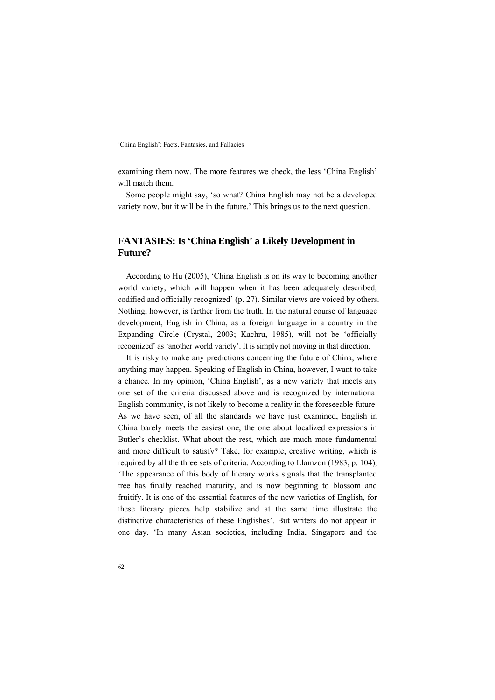examining them now. The more features we check, the less 'China English' will match them.

Some people might say, 'so what? China English may not be a developed variety now, but it will be in the future.' This brings us to the next question.

# **FANTASIES: Is 'China English' a Likely Development in Future?**

According to Hu (2005), 'China English is on its way to becoming another world variety, which will happen when it has been adequately described, codified and officially recognized' (p. 27). Similar views are voiced by others. Nothing, however, is farther from the truth. In the natural course of language development, English in China, as a foreign language in a country in the Expanding Circle (Crystal, 2003; Kachru, 1985), will not be 'officially recognized' as 'another world variety'. It is simply not moving in that direction.

It is risky to make any predictions concerning the future of China, where anything may happen. Speaking of English in China, however, I want to take a chance. In my opinion, 'China English', as a new variety that meets any one set of the criteria discussed above and is recognized by international English community, is not likely to become a reality in the foreseeable future. As we have seen, of all the standards we have just examined, English in China barely meets the easiest one, the one about localized expressions in Butler's checklist. What about the rest, which are much more fundamental and more difficult to satisfy? Take, for example, creative writing, which is required by all the three sets of criteria. According to Llamzon (1983, p. 104), 'The appearance of this body of literary works signals that the transplanted tree has finally reached maturity, and is now beginning to blossom and fruitify. It is one of the essential features of the new varieties of English, for these literary pieces help stabilize and at the same time illustrate the distinctive characteristics of these Englishes'. But writers do not appear in one day. 'In many Asian societies, including India, Singapore and the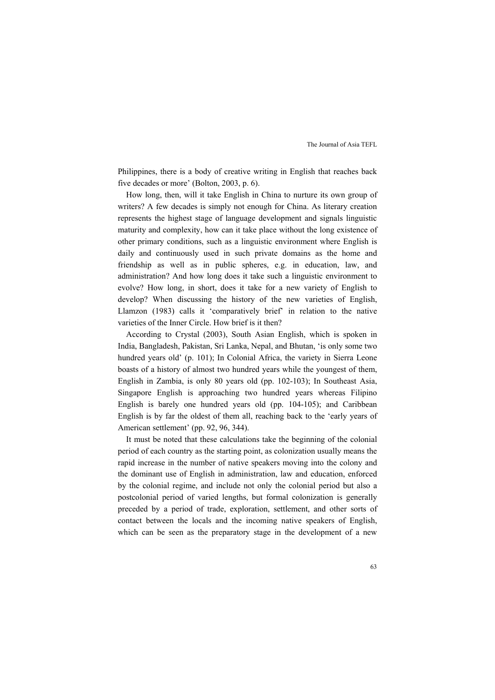Philippines, there is a body of creative writing in English that reaches back five decades or more' (Bolton, 2003, p. 6).

How long, then, will it take English in China to nurture its own group of writers? A few decades is simply not enough for China. As literary creation represents the highest stage of language development and signals linguistic maturity and complexity, how can it take place without the long existence of other primary conditions, such as a linguistic environment where English is daily and continuously used in such private domains as the home and friendship as well as in public spheres, e.g. in education, law, and administration? And how long does it take such a linguistic environment to evolve? How long, in short, does it take for a new variety of English to develop? When discussing the history of the new varieties of English, Llamzon (1983) calls it 'comparatively brief' in relation to the native varieties of the Inner Circle. How brief is it then?

According to Crystal (2003), South Asian English, which is spoken in India, Bangladesh, Pakistan, Sri Lanka, Nepal, and Bhutan, 'is only some two hundred years old' (p. 101); In Colonial Africa, the variety in Sierra Leone boasts of a history of almost two hundred years while the youngest of them, English in Zambia, is only 80 years old (pp. 102-103); In Southeast Asia, Singapore English is approaching two hundred years whereas Filipino English is barely one hundred years old (pp. 104-105); and Caribbean English is by far the oldest of them all, reaching back to the 'early years of American settlement' (pp. 92, 96, 344).

It must be noted that these calculations take the beginning of the colonial period of each country as the starting point, as colonization usually means the rapid increase in the number of native speakers moving into the colony and the dominant use of English in administration, law and education, enforced by the colonial regime, and include not only the colonial period but also a postcolonial period of varied lengths, but formal colonization is generally preceded by a period of trade, exploration, settlement, and other sorts of contact between the locals and the incoming native speakers of English, which can be seen as the preparatory stage in the development of a new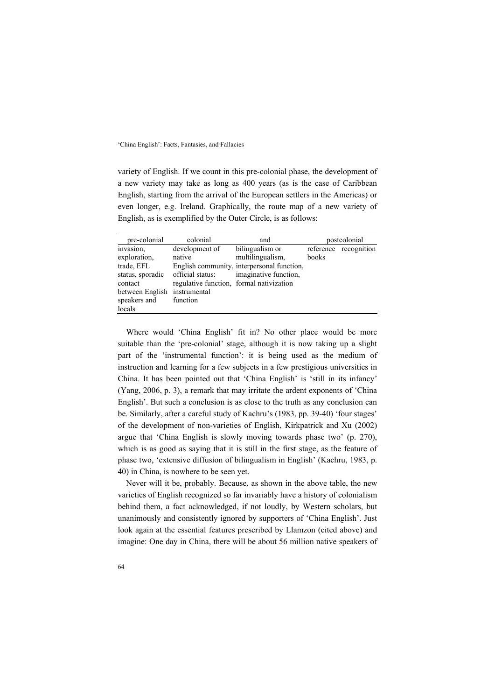variety of English. If we count in this pre-colonial phase, the development of a new variety may take as long as 400 years (as is the case of Caribbean English, starting from the arrival of the European settlers in the Americas) or even longer, e.g. Ireland. Graphically, the route map of a new variety of English, as is exemplified by the Outer Circle, is as follows:

| pre-colonial                 | colonial                                 | and                                        | postcolonial |                       |
|------------------------------|------------------------------------------|--------------------------------------------|--------------|-----------------------|
| invasion,                    | development of                           | bilingualism or                            |              | reference recognition |
| exploration.                 | native                                   | multilingualism,                           | books        |                       |
| trade, EFL                   |                                          | English community, interpersonal function, |              |                       |
| status, sporadic             | official status:                         | imaginative function.                      |              |                       |
| contact                      | regulative function, formal nativization |                                            |              |                       |
| between English instrumental |                                          |                                            |              |                       |
| speakers and                 | function                                 |                                            |              |                       |
| locals                       |                                          |                                            |              |                       |

Where would 'China English' fit in? No other place would be more suitable than the 'pre-colonial' stage, although it is now taking up a slight part of the 'instrumental function': it is being used as the medium of instruction and learning for a few subjects in a few prestigious universities in China. It has been pointed out that 'China English' is 'still in its infancy' (Yang, 2006, p. 3), a remark that may irritate the ardent exponents of 'China English'. But such a conclusion is as close to the truth as any conclusion can be. Similarly, after a careful study of Kachru's (1983, pp. 39-40) 'four stages' of the development of non-varieties of English, Kirkpatrick and Xu (2002) argue that 'China English is slowly moving towards phase two' (p. 270), which is as good as saying that it is still in the first stage, as the feature of phase two, 'extensive diffusion of bilingualism in English' (Kachru, 1983, p. 40) in China, is nowhere to be seen yet.

Never will it be, probably. Because, as shown in the above table, the new varieties of English recognized so far invariably have a history of colonialism behind them, a fact acknowledged, if not loudly, by Western scholars, but unanimously and consistently ignored by supporters of 'China English'. Just look again at the essential features prescribed by Llamzon (cited above) and imagine: One day in China, there will be about 56 million native speakers of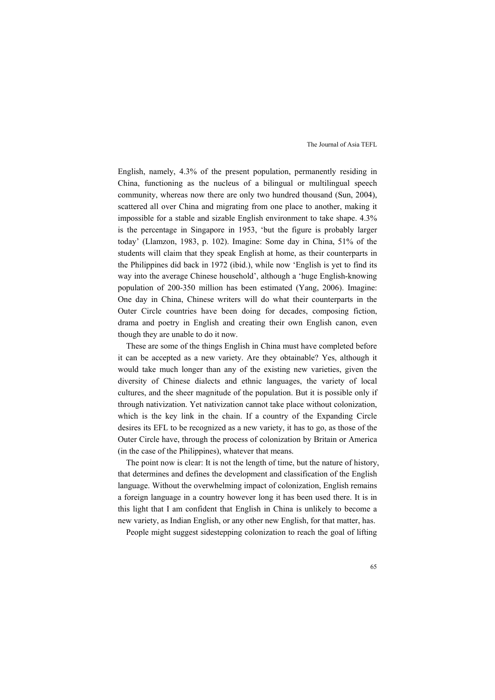English, namely, 4.3% of the present population, permanently residing in China, functioning as the nucleus of a bilingual or multilingual speech community, whereas now there are only two hundred thousand (Sun, 2004), scattered all over China and migrating from one place to another, making it impossible for a stable and sizable English environment to take shape. 4.3% is the percentage in Singapore in 1953, 'but the figure is probably larger today' (Llamzon, 1983, p. 102). Imagine: Some day in China, 51% of the students will claim that they speak English at home, as their counterparts in the Philippines did back in 1972 (ibid.), while now 'English is yet to find its way into the average Chinese household', although a 'huge English-knowing population of 200-350 million has been estimated (Yang, 2006). Imagine: One day in China, Chinese writers will do what their counterparts in the Outer Circle countries have been doing for decades, composing fiction, drama and poetry in English and creating their own English canon, even though they are unable to do it now.

These are some of the things English in China must have completed before it can be accepted as a new variety. Are they obtainable? Yes, although it would take much longer than any of the existing new varieties, given the diversity of Chinese dialects and ethnic languages, the variety of local cultures, and the sheer magnitude of the population. But it is possible only if through nativization. Yet nativization cannot take place without colonization, which is the key link in the chain. If a country of the Expanding Circle desires its EFL to be recognized as a new variety, it has to go, as those of the Outer Circle have, through the process of colonization by Britain or America (in the case of the Philippines), whatever that means.

The point now is clear: It is not the length of time, but the nature of history, that determines and defines the development and classification of the English language. Without the overwhelming impact of colonization, English remains a foreign language in a country however long it has been used there. It is in this light that I am confident that English in China is unlikely to become a new variety, as Indian English, or any other new English, for that matter, has.

People might suggest sidestepping colonization to reach the goal of lifting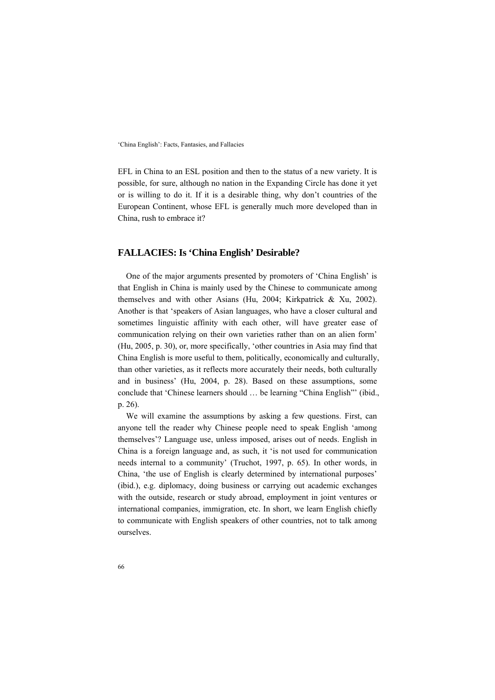EFL in China to an ESL position and then to the status of a new variety. It is possible, for sure, although no nation in the Expanding Circle has done it yet or is willing to do it. If it is a desirable thing, why don't countries of the European Continent, whose EFL is generally much more developed than in China, rush to embrace it?

### **FALLACIES: Is 'China English' Desirable?**

One of the major arguments presented by promoters of 'China English' is that English in China is mainly used by the Chinese to communicate among themselves and with other Asians (Hu, 2004; Kirkpatrick & Xu, 2002). Another is that 'speakers of Asian languages, who have a closer cultural and sometimes linguistic affinity with each other, will have greater ease of communication relying on their own varieties rather than on an alien form' (Hu, 2005, p. 30), or, more specifically, 'other countries in Asia may find that China English is more useful to them, politically, economically and culturally, than other varieties, as it reflects more accurately their needs, both culturally and in business' (Hu, 2004, p. 28). Based on these assumptions, some conclude that 'Chinese learners should … be learning "China English"' (ibid., p. 26).

We will examine the assumptions by asking a few questions. First, can anyone tell the reader why Chinese people need to speak English 'among themselves'? Language use, unless imposed, arises out of needs. English in China is a foreign language and, as such, it 'is not used for communication needs internal to a community' (Truchot, 1997, p. 65). In other words, in China, 'the use of English is clearly determined by international purposes' (ibid.), e.g. diplomacy, doing business or carrying out academic exchanges with the outside, research or study abroad, employment in joint ventures or international companies, immigration, etc. In short, we learn English chiefly to communicate with English speakers of other countries, not to talk among ourselves.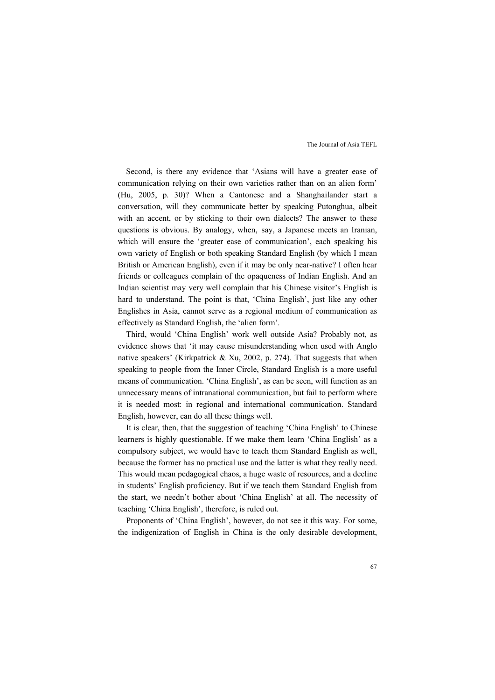Second, is there any evidence that 'Asians will have a greater ease of communication relying on their own varieties rather than on an alien form' (Hu, 2005, p. 30)? When a Cantonese and a Shanghailander start a conversation, will they communicate better by speaking Putonghua, albeit with an accent, or by sticking to their own dialects? The answer to these questions is obvious. By analogy, when, say, a Japanese meets an Iranian, which will ensure the 'greater ease of communication', each speaking his own variety of English or both speaking Standard English (by which I mean British or American English), even if it may be only near-native? I often hear friends or colleagues complain of the opaqueness of Indian English. And an Indian scientist may very well complain that his Chinese visitor's English is hard to understand. The point is that, 'China English', just like any other Englishes in Asia, cannot serve as a regional medium of communication as effectively as Standard English, the 'alien form'.

Third, would 'China English' work well outside Asia? Probably not, as evidence shows that 'it may cause misunderstanding when used with Anglo native speakers' (Kirkpatrick & Xu, 2002, p. 274). That suggests that when speaking to people from the Inner Circle, Standard English is a more useful means of communication. 'China English', as can be seen, will function as an unnecessary means of intranational communication, but fail to perform where it is needed most: in regional and international communication. Standard English, however, can do all these things well.

It is clear, then, that the suggestion of teaching 'China English' to Chinese learners is highly questionable. If we make them learn 'China English' as a compulsory subject, we would have to teach them Standard English as well, because the former has no practical use and the latter is what they really need. This would mean pedagogical chaos, a huge waste of resources, and a decline in students' English proficiency. But if we teach them Standard English from the start, we needn't bother about 'China English' at all. The necessity of teaching 'China English', therefore, is ruled out.

Proponents of 'China English', however, do not see it this way. For some, the indigenization of English in China is the only desirable development,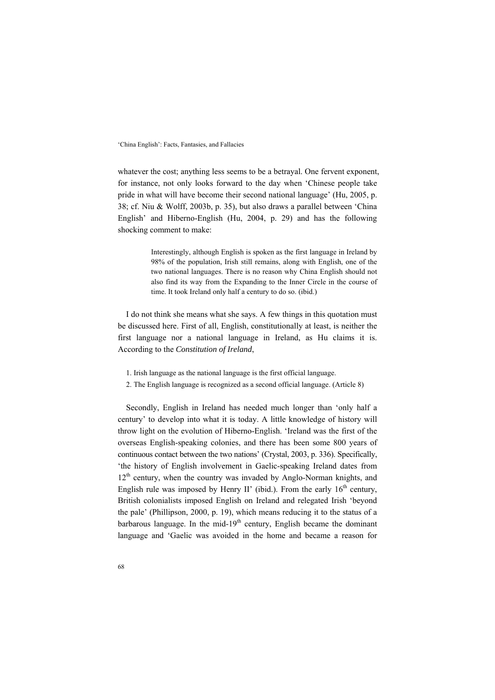whatever the cost; anything less seems to be a betrayal. One fervent exponent, for instance, not only looks forward to the day when 'Chinese people take pride in what will have become their second national language' (Hu, 2005, p. 38; cf. Niu & Wolff, 2003b, p. 35), but also draws a parallel between 'China English' and Hiberno-English (Hu, 2004, p. 29) and has the following shocking comment to make:

> Interestingly, although English is spoken as the first language in Ireland by 98% of the population, Irish still remains, along with English, one of the two national languages. There is no reason why China English should not also find its way from the Expanding to the Inner Circle in the course of time. It took Ireland only half a century to do so. (ibid.)

I do not think she means what she says. A few things in this quotation must be discussed here. First of all, English, constitutionally at least, is neither the first language nor a national language in Ireland, as Hu claims it is. According to the *Constitution of Ireland*,

- 1. Irish language as the national language is the first official language.
- 2. The English language is recognized as a second official language. (Article 8)

Secondly, English in Ireland has needed much longer than 'only half a century' to develop into what it is today. A little knowledge of history will throw light on the evolution of Hiberno-English. 'Ireland was the first of the overseas English-speaking colonies, and there has been some 800 years of continuous contact between the two nations' (Crystal, 2003, p. 336). Specifically, 'the history of English involvement in Gaelic-speaking Ireland dates from  $12<sup>th</sup>$  century, when the country was invaded by Anglo-Norman knights, and English rule was imposed by Henry II' (ibid.). From the early  $16<sup>th</sup>$  century, British colonialists imposed English on Ireland and relegated Irish 'beyond the pale' (Phillipson, 2000, p. 19), which means reducing it to the status of a barbarous language. In the mid-19<sup>th</sup> century, English became the dominant language and 'Gaelic was avoided in the home and became a reason for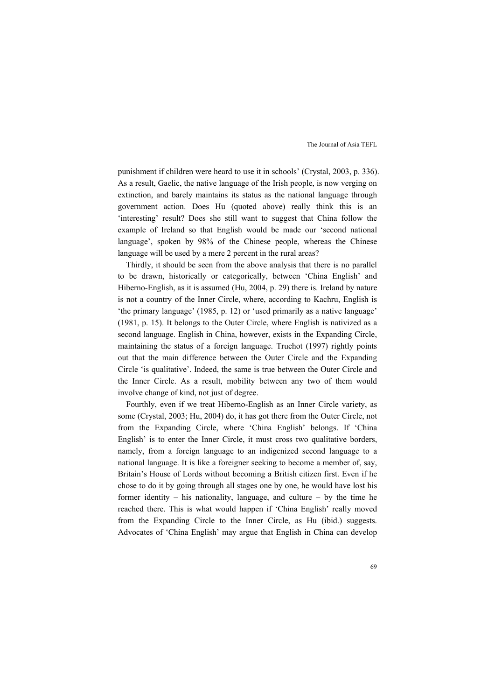punishment if children were heard to use it in schools' (Crystal, 2003, p. 336). As a result, Gaelic, the native language of the Irish people, is now verging on extinction, and barely maintains its status as the national language through government action. Does Hu (quoted above) really think this is an 'interesting' result? Does she still want to suggest that China follow the example of Ireland so that English would be made our 'second national language', spoken by 98% of the Chinese people, whereas the Chinese language will be used by a mere 2 percent in the rural areas?

Thirdly, it should be seen from the above analysis that there is no parallel to be drawn, historically or categorically, between 'China English' and Hiberno-English, as it is assumed (Hu, 2004, p. 29) there is. Ireland by nature is not a country of the Inner Circle, where, according to Kachru, English is 'the primary language' (1985, p. 12) or 'used primarily as a native language' (1981, p. 15). It belongs to the Outer Circle, where English is nativized as a second language. English in China, however, exists in the Expanding Circle, maintaining the status of a foreign language. Truchot (1997) rightly points out that the main difference between the Outer Circle and the Expanding Circle 'is qualitative'. Indeed, the same is true between the Outer Circle and the Inner Circle. As a result, mobility between any two of them would involve change of kind, not just of degree.

Fourthly, even if we treat Hiberno-English as an Inner Circle variety, as some (Crystal, 2003; Hu, 2004) do, it has got there from the Outer Circle, not from the Expanding Circle, where 'China English' belongs. If 'China English' is to enter the Inner Circle, it must cross two qualitative borders, namely, from a foreign language to an indigenized second language to a national language. It is like a foreigner seeking to become a member of, say, Britain's House of Lords without becoming a British citizen first. Even if he chose to do it by going through all stages one by one, he would have lost his former identity – his nationality, language, and culture – by the time he reached there. This is what would happen if 'China English' really moved from the Expanding Circle to the Inner Circle, as Hu (ibid.) suggests. Advocates of 'China English' may argue that English in China can develop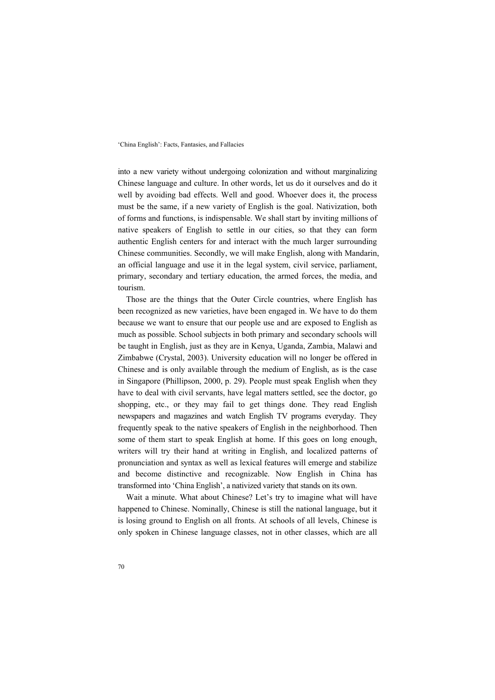into a new variety without undergoing colonization and without marginalizing Chinese language and culture. In other words, let us do it ourselves and do it well by avoiding bad effects. Well and good. Whoever does it, the process must be the same, if a new variety of English is the goal. Nativization, both of forms and functions, is indispensable. We shall start by inviting millions of native speakers of English to settle in our cities, so that they can form authentic English centers for and interact with the much larger surrounding Chinese communities. Secondly, we will make English, along with Mandarin, an official language and use it in the legal system, civil service, parliament, primary, secondary and tertiary education, the armed forces, the media, and tourism.

Those are the things that the Outer Circle countries, where English has been recognized as new varieties, have been engaged in. We have to do them because we want to ensure that our people use and are exposed to English as much as possible. School subjects in both primary and secondary schools will be taught in English, just as they are in Kenya, Uganda, Zambia, Malawi and Zimbabwe (Crystal, 2003). University education will no longer be offered in Chinese and is only available through the medium of English, as is the case in Singapore (Phillipson, 2000, p. 29). People must speak English when they have to deal with civil servants, have legal matters settled, see the doctor, go shopping, etc., or they may fail to get things done. They read English newspapers and magazines and watch English TV programs everyday. They frequently speak to the native speakers of English in the neighborhood. Then some of them start to speak English at home. If this goes on long enough, writers will try their hand at writing in English, and localized patterns of pronunciation and syntax as well as lexical features will emerge and stabilize and become distinctive and recognizable. Now English in China has transformed into 'China English', a nativized variety that stands on its own.

Wait a minute. What about Chinese? Let's try to imagine what will have happened to Chinese. Nominally, Chinese is still the national language, but it is losing ground to English on all fronts. At schools of all levels, Chinese is only spoken in Chinese language classes, not in other classes, which are all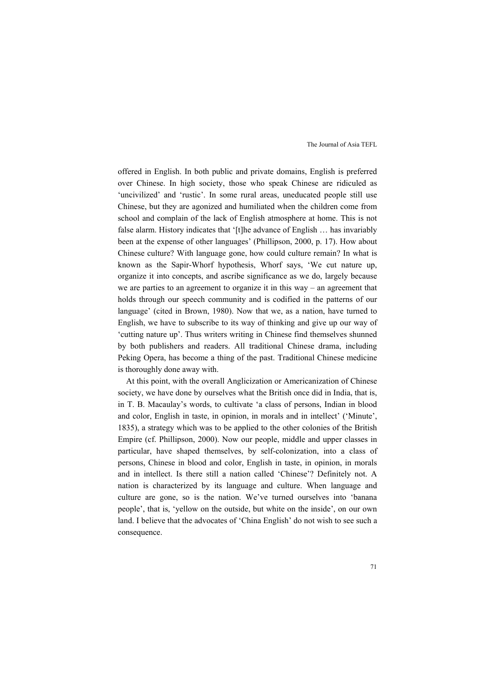offered in English. In both public and private domains, English is preferred over Chinese. In high society, those who speak Chinese are ridiculed as 'uncivilized' and 'rustic'. In some rural areas, uneducated people still use Chinese, but they are agonized and humiliated when the children come from school and complain of the lack of English atmosphere at home. This is not false alarm. History indicates that '[t]he advance of English ... has invariably been at the expense of other languages' (Phillipson, 2000, p. 17). How about Chinese culture? With language gone, how could culture remain? In what is known as the Sapir-Whorf hypothesis, Whorf says, 'We cut nature up, organize it into concepts, and ascribe significance as we do, largely because we are parties to an agreement to organize it in this way – an agreement that holds through our speech community and is codified in the patterns of our language' (cited in Brown, 1980). Now that we, as a nation, have turned to English, we have to subscribe to its way of thinking and give up our way of 'cutting nature up'. Thus writers writing in Chinese find themselves shunned by both publishers and readers. All traditional Chinese drama, including Peking Opera, has become a thing of the past. Traditional Chinese medicine is thoroughly done away with.

At this point, with the overall Anglicization or Americanization of Chinese society, we have done by ourselves what the British once did in India, that is, in T. B. Macaulay's words, to cultivate 'a class of persons, Indian in blood and color, English in taste, in opinion, in morals and in intellect' ('Minute', 1835), a strategy which was to be applied to the other colonies of the British Empire (cf. Phillipson, 2000). Now our people, middle and upper classes in particular, have shaped themselves, by self-colonization, into a class of persons, Chinese in blood and color, English in taste, in opinion, in morals and in intellect. Is there still a nation called 'Chinese'? Definitely not. A nation is characterized by its language and culture. When language and culture are gone, so is the nation. We've turned ourselves into 'banana people', that is, 'yellow on the outside, but white on the inside', on our own land. I believe that the advocates of 'China English' do not wish to see such a consequence.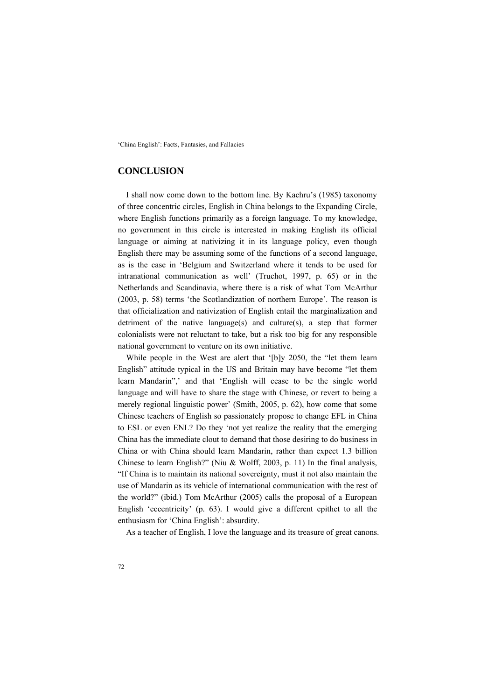### **CONCLUSION**

I shall now come down to the bottom line. By Kachru's (1985) taxonomy of three concentric circles, English in China belongs to the Expanding Circle, where English functions primarily as a foreign language. To my knowledge, no government in this circle is interested in making English its official language or aiming at nativizing it in its language policy, even though English there may be assuming some of the functions of a second language, as is the case in 'Belgium and Switzerland where it tends to be used for intranational communication as well' (Truchot, 1997, p. 65) or in the Netherlands and Scandinavia, where there is a risk of what Tom McArthur (2003, p. 58) terms 'the Scotlandization of northern Europe'. The reason is that officialization and nativization of English entail the marginalization and detriment of the native language(s) and culture(s), a step that former colonialists were not reluctant to take, but a risk too big for any responsible national government to venture on its own initiative.

While people in the West are alert that '[b]y 2050, the "let them learn English" attitude typical in the US and Britain may have become "let them learn Mandarin",' and that 'English will cease to be the single world language and will have to share the stage with Chinese, or revert to being a merely regional linguistic power' (Smith, 2005, p. 62), how come that some Chinese teachers of English so passionately propose to change EFL in China to ESL or even ENL? Do they 'not yet realize the reality that the emerging China has the immediate clout to demand that those desiring to do business in China or with China should learn Mandarin, rather than expect 1.3 billion Chinese to learn English?" (Niu & Wolff, 2003, p. 11) In the final analysis, "If China is to maintain its national sovereignty, must it not also maintain the use of Mandarin as its vehicle of international communication with the rest of the world?" (ibid.) Tom McArthur (2005) calls the proposal of a European English 'eccentricity' (p. 63). I would give a different epithet to all the enthusiasm for 'China English': absurdity.

As a teacher of English, I love the language and its treasure of great canons.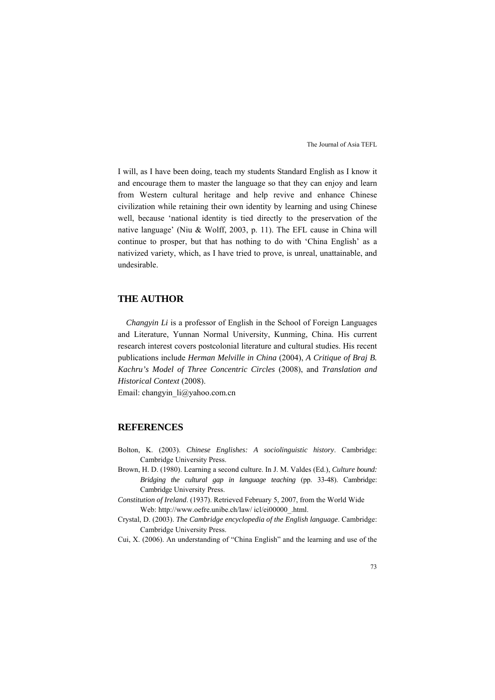I will, as I have been doing, teach my students Standard English as I know it and encourage them to master the language so that they can enjoy and learn from Western cultural heritage and help revive and enhance Chinese civilization while retaining their own identity by learning and using Chinese well, because 'national identity is tied directly to the preservation of the native language' (Niu & Wolff, 2003, p. 11). The EFL cause in China will continue to prosper, but that has nothing to do with 'China English' as a nativized variety, which, as I have tried to prove, is unreal, unattainable, and undesirable.

### **THE AUTHOR**

*Changyin Li* is a professor of English in the School of Foreign Languages and Literature, Yunnan Normal University, Kunming, China. His current research interest covers postcolonial literature and cultural studies. His recent publications include *Herman Melville in China* (2004), *A Critique of Braj B. Kachru's Model of Three Concentric Circles* (2008), and *Translation and Historical Context* (2008).

Email: changyin\_li@yahoo.com.cn

#### **REFERENCES**

- Bolton, K. (2003). *Chinese Englishes: A sociolinguistic history*. Cambridge: Cambridge University Press.
- Brown, H. D. (1980). Learning a second culture. In J. M. Valdes (Ed.), *Culture bound: Bridging the cultural gap in language teaching* (pp. 33-48). Cambridge: Cambridge University Press.
- *Constitution of Ireland*. (1937). Retrieved February 5, 2007, from the World Wide Web: http://www.oefre.unibe.ch/law/ icl/ei00000\_.html.
- Crystal, D. (2003). *The Cambridge encyclopedia of the English language*. Cambridge: Cambridge University Press.
- Cui, X. (2006). An understanding of "China English" and the learning and use of the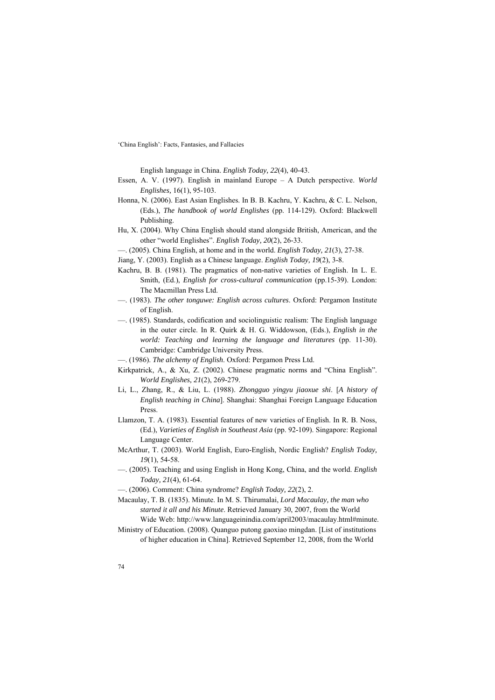English language in China. *English Today, 22*(4), 40-43.

- Essen, A. V. (1997). English in mainland Europe A Dutch perspective. *World Englishes,* 16(1), 95-103.
- Honna, N. (2006). East Asian Englishes. In B. B. Kachru, Y. Kachru, & C. L. Nelson, (Eds.), *The handbook of world Englishes* (pp. 114-129). Oxford: Blackwell Publishing.
- Hu, X. (2004). Why China English should stand alongside British, American, and the other "world Englishes". *English Today, 20*(2), 26-33.
- —. (2005). China English, at home and in the world. *English Today, 21*(3), 27-38.
- Jiang, Y. (2003). English as a Chinese language. *English Today, 19*(2), 3-8.
- Kachru, B. B. (1981). The pragmatics of non-native varieties of English. In L. E. Smith, (Ed.), *English for cross-cultural communication* (pp.15-39). London: The Macmillan Press Ltd.
- —. (1983). *The other tonguwe: English across cultures*. Oxford: Pergamon Institute of English.
- —. (1985). Standards, codification and sociolinguistic realism: The English language in the outer circle. In R. Quirk & H. G. Widdowson, (Eds.), *English in the world: Teaching and learning the language and literatures* (pp. 11-30). Cambridge: Cambridge University Press.
- —. (1986). *The alchemy of English*. Oxford: Pergamon Press Ltd.
- Kirkpatrick, A., & Xu, Z. (2002). Chinese pragmatic norms and "China English". *World Englishes, 21*(2), 269-279.
- Li, L., Zhang, R., & Liu, L. (1988). *Zhongguo yingyu jiaoxue shi*. [*A history of English teaching in China*]. Shanghai: Shanghai Foreign Language Education Press.
- Llamzon, T. A. (1983). Essential features of new varieties of English. In R. B. Noss, (Ed.), *Varieties of English in Southeast Asia* (pp. 92-109). Singapore: Regional Language Center.
- McArthur, T. (2003). World English, Euro-English, Nordic English? *English Today, 19*(1), 54-58.
- —. (2005). Teaching and using English in Hong Kong, China, and the world. *English Today, 21*(4), 61-64.
- —. (2006). Comment: China syndrome? *English Today, 22*(2), 2.

Macaulay, T. B. (1835). Minute. In M. S. Thirumalai, *Lord Macaulay, the man who started it all and his Minute*. Retrieved January 30, 2007, from the World

Wide Web: http://www.languageinindia.com/april2003/macaulay.html#minute. Ministry of Education. (2008). Quanguo putong gaoxiao mingdan. [List of institutions of higher education in China]. Retrieved September 12, 2008, from the World